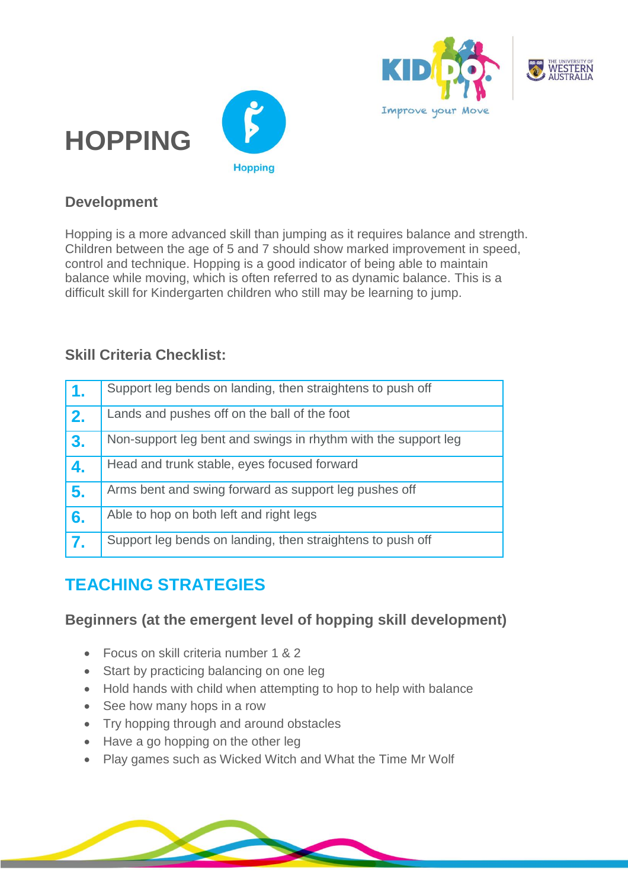





#### **Development**

Hopping is a more advanced skill than jumping as it requires balance and strength. Children between the age of 5 and 7 should show marked improvement in speed, control and technique. Hopping is a good indicator of being able to maintain balance while moving, which is often referred to as dynamic balance. This is a difficult skill for Kindergarten children who still may be learning to jump.

#### **Skill Criteria Checklist:**

| 1. | Support leg bends on landing, then straightens to push off     |
|----|----------------------------------------------------------------|
| 2. | Lands and pushes off on the ball of the foot                   |
| 3. | Non-support leg bent and swings in rhythm with the support leg |
| 4. | Head and trunk stable, eyes focused forward                    |
| 5. | Arms bent and swing forward as support leg pushes off          |
| 6. | Able to hop on both left and right legs                        |
| 7. | Support leg bends on landing, then straightens to push off     |

# **TEACHING STRATEGIES**

#### **Beginners (at the emergent level of hopping skill development)**

- Focus on skill criteria number 1 & 2
- Start by practicing balancing on one leg
- Hold hands with child when attempting to hop to help with balance
- See how many hops in a row
- Try hopping through and around obstacles
- Have a go hopping on the other leg
- Play games such as Wicked Witch and What the Time Mr Wolf